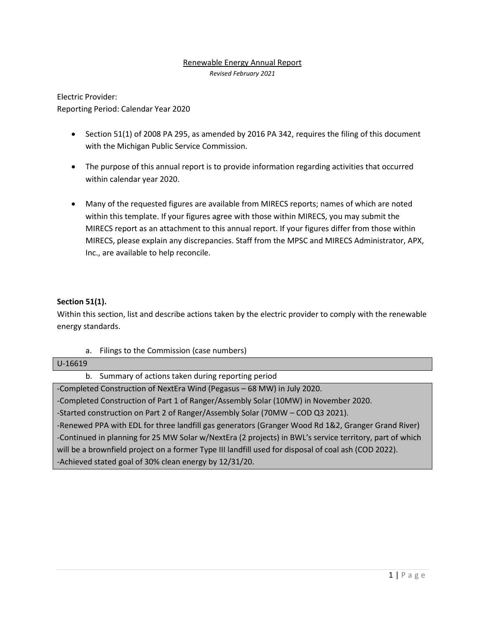### Renewable Energy Annual Report

*Revised February 2021*

Electric Provider: Reporting Period: Calendar Year 2020

- Section 51(1) of 2008 PA 295, as amended by 2016 PA 342, requires the filing of this document with the Michigan Public Service Commission.
- The purpose of this annual report is to provide information regarding activities that occurred within calendar year 2020.
- Many of the requested figures are available from MIRECS reports; names of which are noted within this template. If your figures agree with those within MIRECS, you may submit the MIRECS report as an attachment to this annual report. If your figures differ from those within MIRECS, please explain any discrepancies. Staff from the MPSC and MIRECS Administrator, APX, Inc., are available to help reconcile.

### **Section 51(1).**

Within this section, list and describe actions taken by the electric provider to comply with the renewable energy standards.

a. Filings to the Commission (case numbers)

#### U-16619

b. Summary of actions taken during reporting period

-Completed Construction of NextEra Wind (Pegasus – 68 MW) in July 2020. -Completed Construction of Part 1 of Ranger/Assembly Solar (10MW) in November 2020. -Started construction on Part 2 of Ranger/Assembly Solar (70MW – COD Q3 2021). -Renewed PPA with EDL for three landfill gas generators (Granger Wood Rd 1&2, Granger Grand River) -Continued in planning for 25 MW Solar w/NextEra (2 projects) in BWL's service territory, part of which will be a brownfield project on a former Type III landfill used for disposal of coal ash (COD 2022). -Achieved stated goal of 30% clean energy by 12/31/20.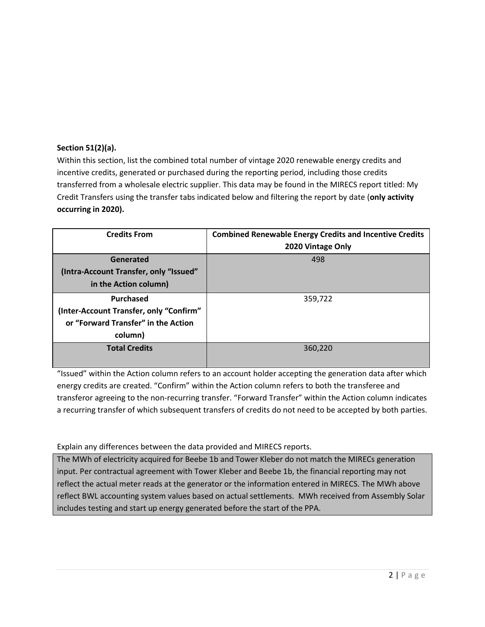## **Section 51(2)(a).**

Within this section, list the combined total number of vintage 2020 renewable energy credits and incentive credits, generated or purchased during the reporting period, including those credits transferred from a wholesale electric supplier. This data may be found in the MIRECS report titled: My Credit Transfers using the transfer tabs indicated below and filtering the report by date (**only activity occurring in 2020).**

| <b>Credits From</b>                     | <b>Combined Renewable Energy Credits and Incentive Credits</b><br>2020 Vintage Only |
|-----------------------------------------|-------------------------------------------------------------------------------------|
| Generated                               | 498                                                                                 |
| (Intra-Account Transfer, only "Issued"  |                                                                                     |
| in the Action column)                   |                                                                                     |
| Purchased                               | 359,722                                                                             |
| (Inter-Account Transfer, only "Confirm" |                                                                                     |
| or "Forward Transfer" in the Action     |                                                                                     |
| column)                                 |                                                                                     |
| <b>Total Credits</b>                    | 360,220                                                                             |
|                                         |                                                                                     |

"Issued" within the Action column refers to an account holder accepting the generation data after which energy credits are created. "Confirm" within the Action column refers to both the transferee and transferor agreeing to the non-recurring transfer. "Forward Transfer" within the Action column indicates a recurring transfer of which subsequent transfers of credits do not need to be accepted by both parties.

## Explain any differences between the data provided and MIRECS reports.

The MWh of electricity acquired for Beebe 1b and Tower Kleber do not match the MIRECs generation input. Per contractual agreement with Tower Kleber and Beebe 1b, the financial reporting may not reflect the actual meter reads at the generator or the information entered in MIRECS. The MWh above reflect BWL accounting system values based on actual settlements. MWh received from Assembly Solar includes testing and start up energy generated before the start of the PPA.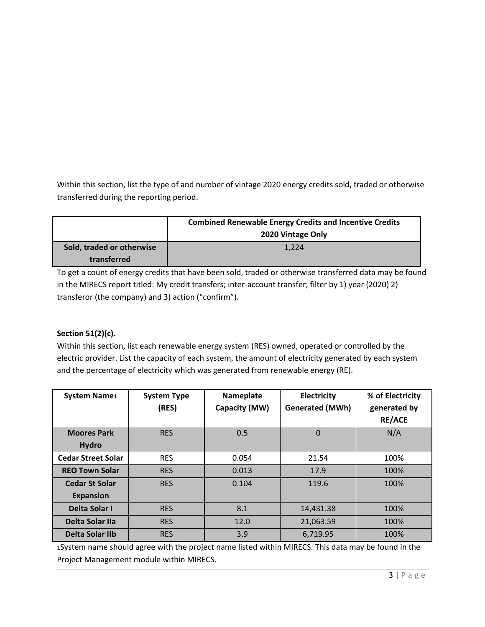Within this section, list the type of and number of vintage 2020 energy credits sold, traded or otherwise transferred during the reporting period.

|                           | <b>Combined Renewable Energy Credits and Incentive Credits</b><br>2020 Vintage Only |  |
|---------------------------|-------------------------------------------------------------------------------------|--|
| Sold, traded or otherwise | 1.224                                                                               |  |
| transferred               |                                                                                     |  |

To get a count of energy credits that have been sold, traded or otherwise transferred data may be found in the MIRECS report titled: My credit transfers; inter-account transfer; filter by 1) year (2020) 2) transferor (the company) and 3) action ("confirm").

# **Section 51(2)(c).**

Within this section, list each renewable energy system (RES) owned, operated or controlled by the electric provider. List the capacity of each system, the amount of electricity generated by each system and the percentage of electricity which was generated from renewable energy (RE).

| <b>System Name1</b>       | <b>System Type</b><br>(RES) | Nameplate<br>Capacity (MW) | <b>Electricity</b><br><b>Generated (MWh)</b> | % of Electricity<br>generated by<br><b>RE/ACE</b> |
|---------------------------|-----------------------------|----------------------------|----------------------------------------------|---------------------------------------------------|
| <b>Moores Park</b>        | <b>RES</b>                  | 0.5                        | $\overline{0}$                               | N/A                                               |
| <b>Hydro</b>              |                             |                            |                                              |                                                   |
| <b>Cedar Street Solar</b> | <b>RES</b>                  | 0.054                      | 21.54                                        | 100%                                              |
| <b>REO Town Solar</b>     | <b>RES</b>                  | 0.013                      | 17.9                                         | 100%                                              |
| <b>Cedar St Solar</b>     | <b>RES</b>                  | 0.104                      | 119.6                                        | 100%                                              |
| <b>Expansion</b>          |                             |                            |                                              |                                                   |
| Delta Solar I             | <b>RES</b>                  | 8.1                        | 14,431.38                                    | 100%                                              |
| Delta Solar IIa           | <b>RES</b>                  | 12.0                       | 21,063.59                                    | 100%                                              |
| Delta Solar IIb           | <b>RES</b>                  | 3.9                        | 6,719.95                                     | 100%                                              |

1System name should agree with the project name listed within MIRECS. This data may be found in the Project Management module within MIRECS.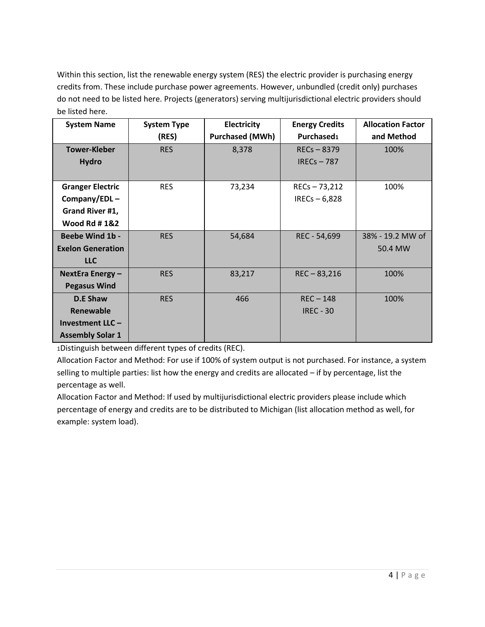Within this section, list the renewable energy system (RES) the electric provider is purchasing energy credits from. These include purchase power agreements. However, unbundled (credit only) purchases do not need to be listed here. Projects (generators) serving multijurisdictional electric providers should be listed here.

| <b>System Name</b>       | <b>System Type</b><br>Electricity |                        | <b>Energy Credits</b> | <b>Allocation Factor</b> |
|--------------------------|-----------------------------------|------------------------|-----------------------|--------------------------|
|                          | (RES)                             | <b>Purchased (MWh)</b> | Purchased1            | and Method               |
| <b>Tower-Kleber</b>      | <b>RES</b>                        | 8,378                  | $REG - 8379$          | 100%                     |
| <b>Hydro</b>             |                                   |                        | IRECs $-787$          |                          |
|                          |                                   |                        |                       |                          |
| <b>Granger Electric</b>  | <b>RES</b>                        | 73,234                 | $RECs - 73,212$       | 100%                     |
| Company/EDL $-$          |                                   |                        | IRECs $-6,828$        |                          |
| Grand River #1,          |                                   |                        |                       |                          |
| <b>Wood Rd #1&amp;2</b>  |                                   |                        |                       |                          |
| <b>Beebe Wind 1b -</b>   | <b>RES</b>                        | 54,684                 | REC - 54,699          | 38% - 19.2 MW of         |
| <b>Exelon Generation</b> |                                   |                        |                       | 50.4 MW                  |
| <b>LLC</b>               |                                   |                        |                       |                          |
| NextEra Energy-          | <b>RES</b>                        | 83,217                 | $REC - 83,216$        | 100%                     |
| <b>Pegasus Wind</b>      |                                   |                        |                       |                          |
| <b>D.E Shaw</b>          | <b>RES</b>                        | 466                    | $REC - 148$           | 100%                     |
| Renewable                |                                   |                        | <b>IREC - 30</b>      |                          |
| Investment LLC-          |                                   |                        |                       |                          |
| <b>Assembly Solar 1</b>  |                                   |                        |                       |                          |

1Distinguish between different types of credits (REC).

Allocation Factor and Method: For use if 100% of system output is not purchased. For instance, a system selling to multiple parties: list how the energy and credits are allocated – if by percentage, list the percentage as well.

Allocation Factor and Method: If used by multijurisdictional electric providers please include which percentage of energy and credits are to be distributed to Michigan (list allocation method as well, for example: system load).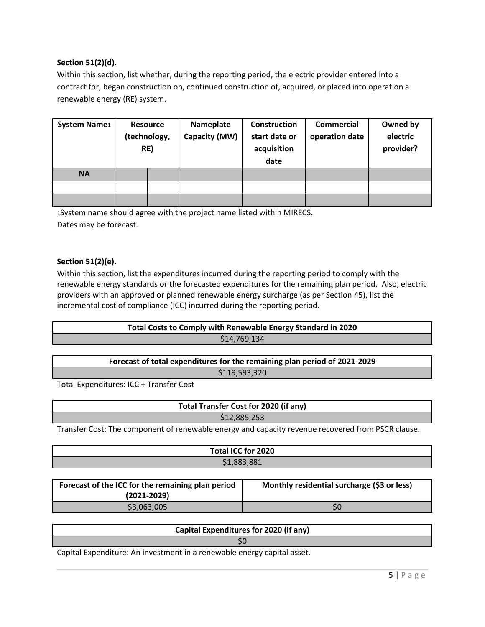### **Section 51(2)(d).**

Within this section, list whether, during the reporting period, the electric provider entered into a contract for, began construction on, continued construction of, acquired, or placed into operation a renewable energy (RE) system.

| <b>System Name1</b> | <b>Resource</b><br>RE) | (technology, | Nameplate<br>Capacity (MW) | Construction<br>start date or<br>acquisition<br>date | <b>Commercial</b><br>operation date | Owned by<br>electric<br>provider? |
|---------------------|------------------------|--------------|----------------------------|------------------------------------------------------|-------------------------------------|-----------------------------------|
| <b>NA</b>           |                        |              |                            |                                                      |                                     |                                   |
|                     |                        |              |                            |                                                      |                                     |                                   |
|                     |                        |              |                            |                                                      |                                     |                                   |

1System name should agree with the project name listed within MIRECS. Dates may be forecast.

### **Section 51(2)(e).**

Within this section, list the expenditures incurred during the reporting period to comply with the renewable energy standards or the forecasted expenditures for the remaining plan period. Also, electric providers with an approved or planned renewable energy surcharge (as per Section 45), list the incremental cost of compliance (ICC) incurred during the reporting period.

| Total Costs to Comply with Renewable Energy Standard in 2020 |  |
|--------------------------------------------------------------|--|
| \$14,769,134                                                 |  |
|                                                              |  |

**Forecast of total expenditures for the remaining plan period of 2021-2029** \$119,593,320

Total Expenditures: ICC + Transfer Cost

| Total Transfer Cost for 2020 (if any)                                                             |  |  |  |
|---------------------------------------------------------------------------------------------------|--|--|--|
| \$12,885,253                                                                                      |  |  |  |
| Transfer Cost: The component of renewable energy and capacity revenue recovered from PSCR clause. |  |  |  |

| Total ICC for 2020                                                                                                                   |  |
|--------------------------------------------------------------------------------------------------------------------------------------|--|
| \$1,883,881                                                                                                                          |  |
|                                                                                                                                      |  |
| .<br>rang mengenakan pada tahun 1980. Sebaran sain dan bahwa dalam kalendar bahwa dalam kalendar bahwa dan bahwa da<br>$\sim$ $\sim$ |  |

| Forecast of the ICC for the remaining plan period<br>$(2021 - 2029)$ | Monthly residential surcharge (\$3 or less) |
|----------------------------------------------------------------------|---------------------------------------------|
| \$3,063,005                                                          |                                             |

# **Capital Expenditures for 2020 (if any)**

\$0

Capital Expenditure: An investment in a renewable energy capital asset.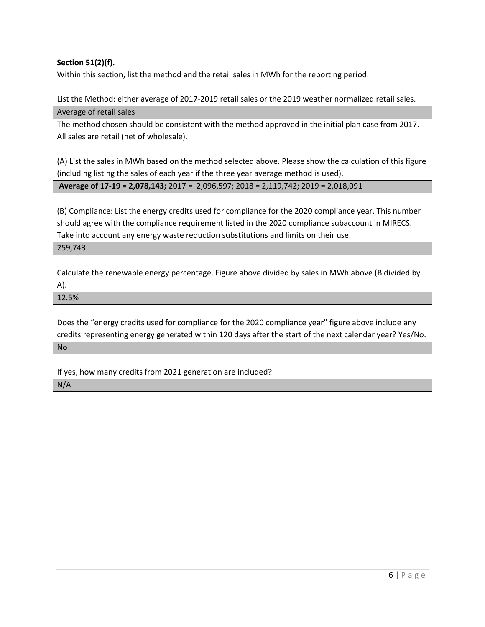### **Section 51(2)(f).**

Within this section, list the method and the retail sales in MWh for the reporting period.

List the Method: either average of 2017-2019 retail sales or the 2019 weather normalized retail sales. Average of retail sales

The method chosen should be consistent with the method approved in the initial plan case from 2017. All sales are retail (net of wholesale).

(A) List the sales in MWh based on the method selected above. Please show the calculation of this figure (including listing the sales of each year if the three year average method is used).

**Average of 17-19 = 2,078,143;** 2017 = 2,096,597; 2018 = 2,119,742; 2019 = 2,018,091

(B) Compliance: List the energy credits used for compliance for the 2020 compliance year. This number should agree with the compliance requirement listed in the 2020 compliance subaccount in MIRECS. Take into account any energy waste reduction substitutions and limits on their use.

#### 259,743

Calculate the renewable energy percentage. Figure above divided by sales in MWh above (B divided by A).

12.5%

Does the "energy credits used for compliance for the 2020 compliance year" figure above include any credits representing energy generated within 120 days after the start of the next calendar year? Yes/No.

\_\_\_\_\_\_\_\_\_\_\_\_\_\_\_\_\_\_\_\_\_\_\_\_\_\_\_\_\_\_\_\_\_\_\_\_\_\_\_\_\_\_\_\_\_\_\_\_\_\_\_\_\_\_\_\_\_\_\_\_\_\_\_\_\_\_\_\_\_\_\_\_\_\_\_\_\_\_\_\_\_\_\_\_\_

No

If yes, how many credits from 2021 generation are included?

N/A